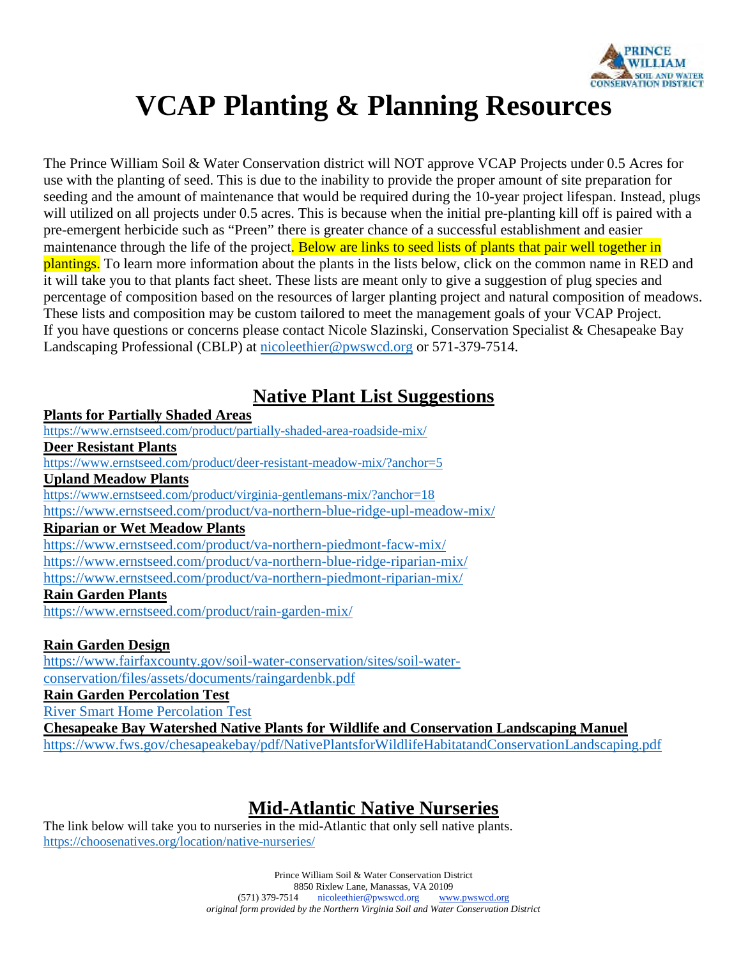

# **VCAP Planting & Planning Resources**

The Prince William Soil & Water Conservation district will NOT approve VCAP Projects under 0.5 Acres for use with the planting of seed. This is due to the inability to provide the proper amount of site preparation for seeding and the amount of maintenance that would be required during the 10-year project lifespan. Instead, plugs will utilized on all projects under 0.5 acres. This is because when the initial pre-planting kill off is paired with a pre-emergent herbicide such as "Preen" there is greater chance of a successful establishment and easier maintenance through the life of the project. Below are links to seed lists of plants that pair well together in plantings. To learn more information about the plants in the lists below, click on the common name in RED and it will take you to that plants fact sheet. These lists are meant only to give a suggestion of plug species and percentage of composition based on the resources of larger planting project and natural composition of meadows. These lists and composition may be custom tailored to meet the management goals of your VCAP Project. If you have questions or concerns please contact Nicole Slazinski, Conservation Specialist & Chesapeake Bay Landscaping Professional (CBLP) at nicoleethier@pwswcd.org or 571-379-7514.

#### **Native Plant List Suggestions**

**Plants for Partially Shaded Areas** https://www.ernstseed.com/product/partially-shaded-area-roadside-mix/ **Deer Resistant Plants** https://www.ernstseed.com/product/deer-resistant-meadow-mix/?anchor=5 **Upland Meadow Plants** https://www.ernstseed.com/product/virginia-gentlemans-mix/?anchor=18 https://www.ernstseed.com/product/va-northern-blue-ridge-upl-meadow-mix/ **Riparian or Wet Meadow Plants** https://www.ernstseed.com/product/va-northern-piedmont-facw-mix/ https://www.ernstseed.com/product/va-northern-blue-ridge-riparian-mix/ https://www.ernstseed.com/product/va-northern-piedmont-riparian-mix/ **Rain Garden Plants** https://www.ernstseed.com/product/rain-garden-mix/

#### **Rain Garden Design**

https://www.fairfaxcounty.gov/soil-water-conservation/sites/soil-waterconservation/files/assets/documents/raingardenbk.pdf **Rain Garden Percolation Test** River Smart Home Percolation Test **Chesapeake Bay Watershed Native Plants for Wildlife and Conservation Landscaping Manuel** https://www.fws.gov/chesapeakebay/pdf/NativePlantsforWildlifeHabitatandConservationLandscaping.pdf

#### **Mid-Atlantic Native Nurseries**

The link below will take you to nurseries in the mid-Atlantic that only sell native plants. https://choosenatives.org/location/native-nurseries/